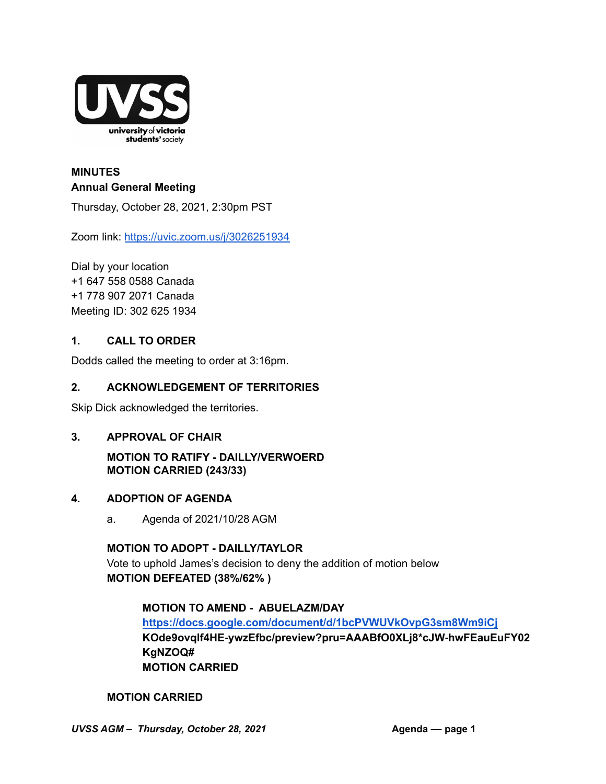

# **MINUTES Annual General Meeting**

Thursday, October 28, 2021, 2:30pm PST

Zoom link: <https://uvic.zoom.us/j/3026251934>

Dial by your location +1 647 558 0588 Canada +1 778 907 2071 Canada Meeting ID: 302 625 1934

### **1. CALL TO ORDER**

Dodds called the meeting to order at 3:16pm.

### **2. ACKNOWLEDGEMENT OF TERRITORIES**

Skip Dick acknowledged the territories.

#### **3. APPROVAL OF CHAIR**

# **MOTION TO RATIFY - DAILLY/VERWOERD MOTION CARRIED (243/33)**

#### **4. ADOPTION OF AGENDA**

a. Agenda of 2021/10/28 AGM

#### **MOTION TO ADOPT - DAILLY/TAYLOR**

Vote to uphold James's decision to deny the addition of motion below **MOTION DEFEATED (38%/62% )**

#### **MOTION TO AMEND - ABUELAZM/DAY**

**<https://docs.google.com/document/d/1bcPVWUVkOvpG3sm8Wm9iCj> KOde9ovqlf4HE-ywzEfbc/preview?pru=AAABfO0XLj8\*cJW-hwFEauEuFY02 KgNZOQ# MOTION CARRIED**

#### **MOTION CARRIED**

*UVSS AGM – Thursday, October 28, 2021* **Agenda –– page 1**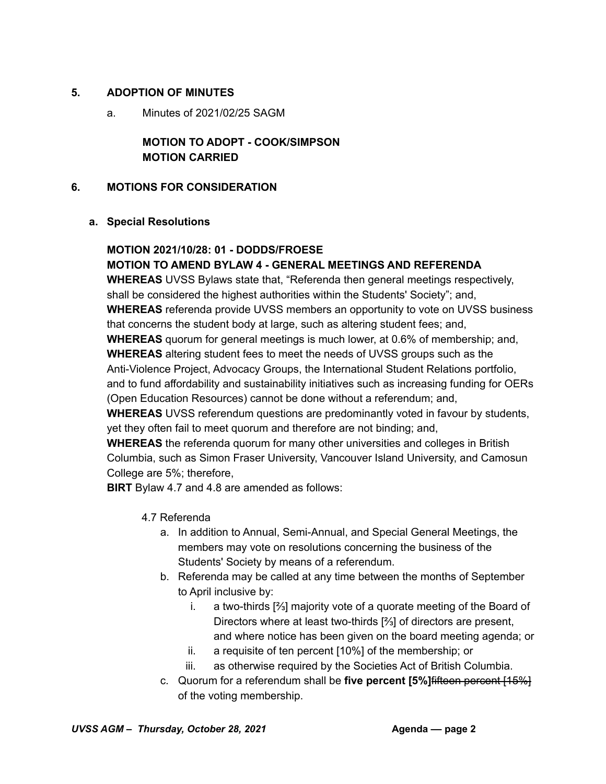### **5. ADOPTION OF MINUTES**

a. Minutes of 2021/02/25 SAGM

# **MOTION TO ADOPT - COOK/SIMPSON MOTION CARRIED**

### **6. MOTIONS FOR CONSIDERATION**

#### **a. Special Resolutions**

# **MOTION 2021/10/28: 01 - DODDS/FROESE MOTION TO AMEND BYLAW 4 - GENERAL MEETINGS AND REFERENDA**

**WHEREAS** UVSS Bylaws state that, "Referenda then general meetings respectively, shall be considered the highest authorities within the Students' Society"; and, **WHEREAS** referenda provide UVSS members an opportunity to vote on UVSS business that concerns the student body at large, such as altering student fees; and, **WHEREAS** quorum for general meetings is much lower, at 0.6% of membership; and, **WHEREAS** altering student fees to meet the needs of UVSS groups such as the

Anti-Violence Project, Advocacy Groups, the International Student Relations portfolio, and to fund affordability and sustainability initiatives such as increasing funding for OERs (Open Education Resources) cannot be done without a referendum; and,

**WHEREAS** UVSS referendum questions are predominantly voted in favour by students, yet they often fail to meet quorum and therefore are not binding; and,

**WHEREAS** the referenda quorum for many other universities and colleges in British Columbia, such as Simon Fraser University, Vancouver Island University, and Camosun College are 5%; therefore,

**BIRT** Bylaw 4.7 and 4.8 are amended as follows:

# 4.7 Referenda

- a. In addition to Annual, Semi-Annual, and Special General Meetings, the members may vote on resolutions concerning the business of the Students' Society by means of a referendum.
- b. Referenda may be called at any time between the months of September to April inclusive by:
	- i. a two-thirds [⅔] majority vote of a quorate meeting of the Board of Directors where at least two-thirds [⅔] of directors are present, and where notice has been given on the board meeting agenda; or
	- ii. a requisite of ten percent [10%] of the membership; or
	- iii. as otherwise required by the Societies Act of British Columbia.
- c. Quorum for a referendum shall be **five percent [5%]**fifteen percent [15%] of the voting membership.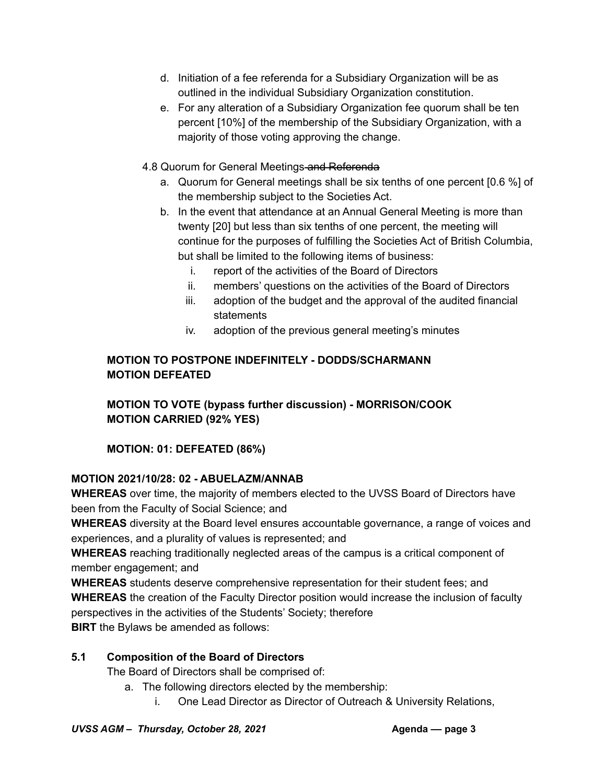- d. Initiation of a fee referenda for a Subsidiary Organization will be as outlined in the individual Subsidiary Organization constitution.
- e. For any alteration of a Subsidiary Organization fee quorum shall be ten percent [10%] of the membership of the Subsidiary Organization, with a majority of those voting approving the change.
- 4.8 Quorum for General Meetings-and Referenda
	- a. Quorum for General meetings shall be six tenths of one percent [0.6 %] of the membership subject to the Societies Act.
	- b. In the event that attendance at an Annual General Meeting is more than twenty [20] but less than six tenths of one percent, the meeting will continue for the purposes of fulfilling the Societies Act of British Columbia, but shall be limited to the following items of business:
		- i. report of the activities of the Board of Directors
		- ii. members' questions on the activities of the Board of Directors
		- iii. adoption of the budget and the approval of the audited financial statements
		- iv. adoption of the previous general meeting's minutes

# **MOTION TO POSTPONE INDEFINITELY - DODDS/SCHARMANN MOTION DEFEATED**

**MOTION TO VOTE (bypass further discussion) - MORRISON/COOK MOTION CARRIED (92% YES)**

**MOTION: 01: DEFEATED (86%)**

# **MOTION 2021/10/28: 02 - ABUELAZM/ANNAB**

**WHEREAS** over time, the majority of members elected to the UVSS Board of Directors have been from the Faculty of Social Science; and

**WHEREAS** diversity at the Board level ensures accountable governance, a range of voices and experiences, and a plurality of values is represented; and

**WHEREAS** reaching traditionally neglected areas of the campus is a critical component of member engagement; and

**WHEREAS** students deserve comprehensive representation for their student fees; and **WHEREAS** the creation of the Faculty Director position would increase the inclusion of faculty perspectives in the activities of the Students' Society; therefore **BIRT** the Bylaws be amended as follows:

# **5.1 Composition of the Board of Directors**

The Board of Directors shall be comprised of:

- a. The following directors elected by the membership:
	- i. One Lead Director as Director of Outreach & University Relations,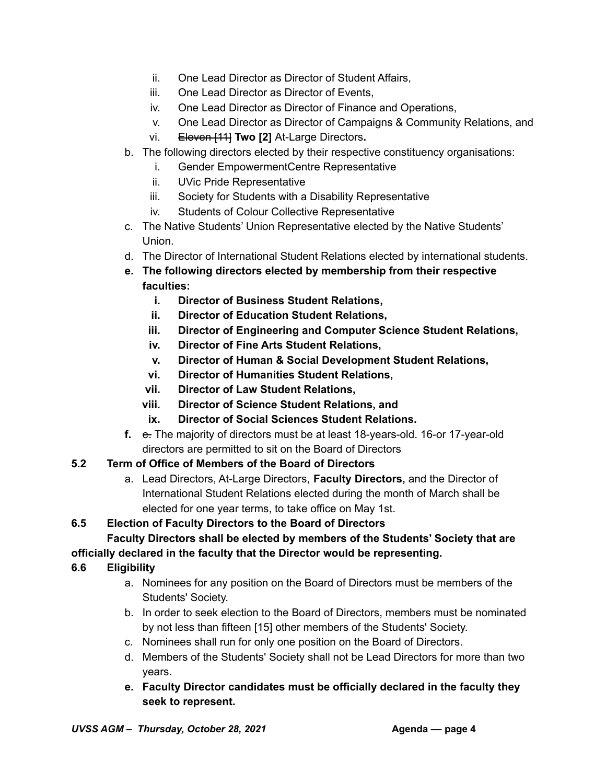- ii. One Lead Director as Director of Student Affairs,
- iii. One Lead Director as Director of Events,
- iv. One Lead Director as Director of Finance and Operations,
- v. One Lead Director as Director of Campaigns & Community Relations, and
- vi. Eleven [11] **Two [2]** At-Large Directors**.**
- b. The following directors elected by their respective constituency organisations:
	- i. Gender EmpowermentCentre Representative
	- ii. UVic Pride Representative
	- iii. Society for Students with a Disability Representative
	- iv. Students of Colour Collective Representative
- c. The Native Students' Union Representative elected by the Native Students' Union.
- d. The Director of International Student Relations elected by international students.
- **e. The following directors elected by membership from their respective faculties:**
	- **i. Director of Business Student Relations,**
	- **ii. Director of Education Student Relations,**
	- **iii. Director of Engineering and Computer Science Student Relations,**
	- **iv. Director of Fine Arts Student Relations,**
	- **v. Director of Human & Social Development Student Relations,**
	- **vi. Director of Humanities Student Relations,**
	- **vii. Director of Law Student Relations,**
	- **viii. Director of Science Student Relations, and**
	- **ix. Director of Social Sciences Student Relations.**
- **f.** e. The majority of directors must be at least 18-years-old. 16-or 17-year-old directors are permitted to sit on the Board of Directors

# **5.2 Term of Office of Members of the Board of Directors**

a. Lead Directors, At-Large Directors, **Faculty Directors,** and the Director of International Student Relations elected during the month of March shall be elected for one year terms, to take office on May 1st.

# **6.5 Election of Faculty Directors to the Board of Directors**

# **Faculty Directors shall be elected by members of the Students' Society that are**

# **officially declared in the faculty that the Director would be representing.**

# **6.6 Eligibility**

- a. Nominees for any position on the Board of Directors must be members of the Students' Society.
- b. In order to seek election to the Board of Directors, members must be nominated by not less than fifteen [15] other members of the Students' Society.
- c. Nominees shall run for only one position on the Board of Directors.
- d. Members of the Students' Society shall not be Lead Directors for more than two years.
- **e. Faculty Director candidates must be officially declared in the faculty they seek to represent.**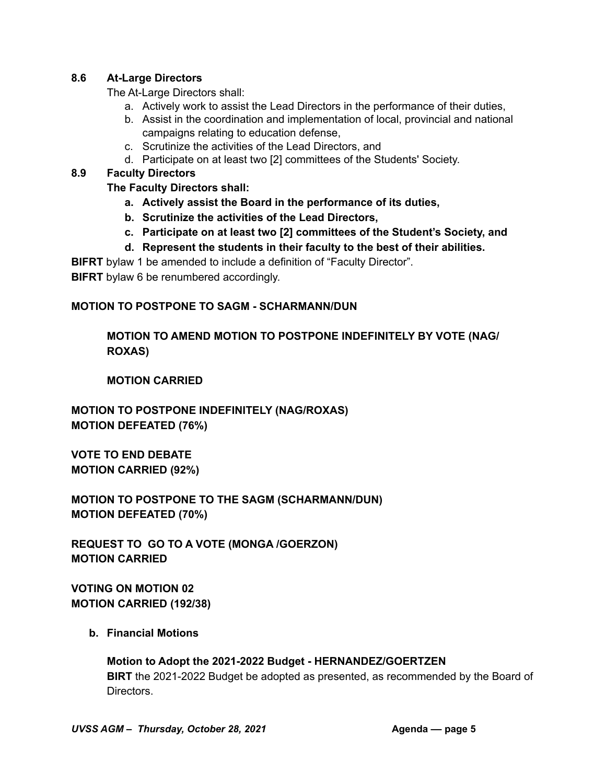### **8.6 At-Large Directors**

The At-Large Directors shall:

- a. Actively work to assist the Lead Directors in the performance of their duties,
- b. Assist in the coordination and implementation of local, provincial and national campaigns relating to education defense,
- c. Scrutinize the activities of the Lead Directors, and
- d. Participate on at least two [2] committees of the Students' Society.

### **8.9 Faculty Directors**

**The Faculty Directors shall:**

- **a. Actively assist the Board in the performance of its duties,**
- **b. Scrutinize the activities of the Lead Directors,**
- **c. Participate on at least two [2] committees of the Student's Society, and**
- **d. Represent the students in their faculty to the best of their abilities.**

**BIFRT** bylaw 1 be amended to include a definition of "Faculty Director".

**BIFRT** bylaw 6 be renumbered accordingly.

# **MOTION TO POSTPONE TO SAGM - SCHARMANN/DUN**

# **MOTION TO AMEND MOTION TO POSTPONE INDEFINITELY BY VOTE (NAG/ ROXAS)**

### **MOTION CARRIED**

**MOTION TO POSTPONE INDEFINITELY (NAG/ROXAS) MOTION DEFEATED (76%)**

**VOTE TO END DEBATE MOTION CARRIED (92%)**

**MOTION TO POSTPONE TO THE SAGM (SCHARMANN/DUN) MOTION DEFEATED (70%)**

**REQUEST TO GO TO A VOTE (MONGA /GOERZON) MOTION CARRIED**

**VOTING ON MOTION 02 MOTION CARRIED (192/38)**

#### **b. Financial Motions**

**Motion to Adopt the 2021-2022 Budget - HERNANDEZ/GOERTZEN BIRT** the 2021-2022 Budget be adopted as presented, as recommended by the Board of Directors.